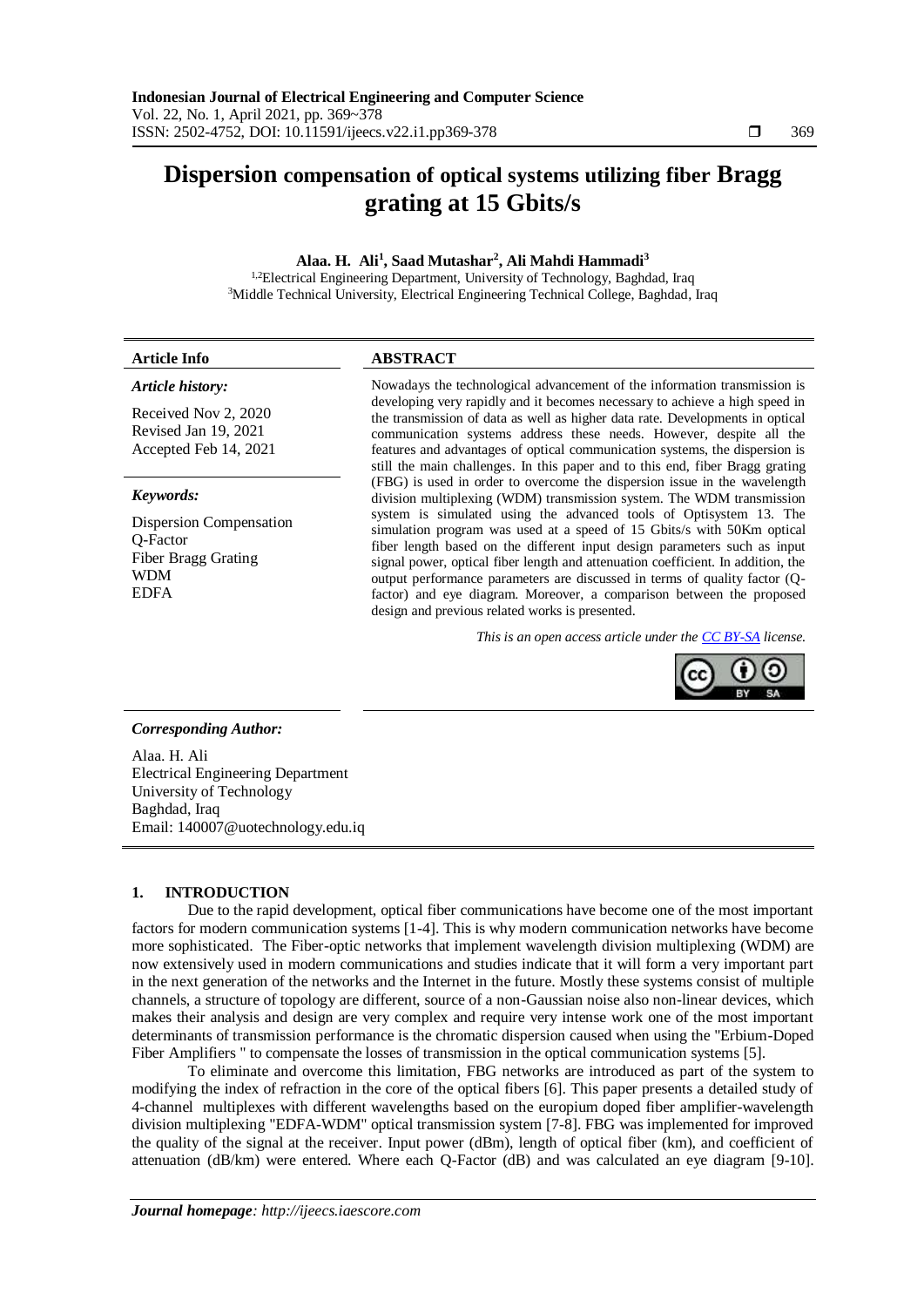## **Dispersion compensation of optical systems utilizing fiber Bragg grating at 15 Gbits/s**

## **Alaa. H. Ali<sup>1</sup> , Saad Mutashar<sup>2</sup> , Ali Mahdi Hammadi<sup>3</sup>**

<sup>1,2</sup>Electrical Engineering Department, University of Technology, Baghdad, Iraq <sup>3</sup>Middle Technical University, Electrical Engineering Technical College, Baghdad, Iraq

# **Article Info ABSTRACT**

## *Article history:*

Received Nov 2, 2020 Revised Jan 19, 2021 Accepted Feb 14, 2021

#### *Keywords:*

Dispersion Compensation Q-Factor Fiber Bragg Grating WDM EDFA

Nowadays the technological advancement of the information transmission is developing very rapidly and it becomes necessary to achieve a high speed in the transmission of data as well as higher data rate. Developments in optical communication systems address these needs. However, despite all the features and advantages of optical communication systems, the dispersion is still the main challenges. In this paper and to this end, fiber Bragg grating (FBG) is used in order to overcome the dispersion issue in the wavelength division multiplexing (WDM) transmission system. The WDM transmission system is simulated using the advanced tools of Optisystem 13. The simulation program was used at a speed of 15 Gbits/s with 50Km optical fiber length based on the different input design parameters such as input signal power, optical fiber length and attenuation coefficient. In addition, the output performance parameters are discussed in terms of quality factor (Qfactor) and eye diagram. Moreover, a comparison between the proposed design and previous related works is presented.

*This is an open access article under the [CC BY-SA](https://creativecommons.org/licenses/by-sa/4.0/) license.*



## *Corresponding Author:*

Alaa. H. Ali Electrical Engineering Department University of Technology Baghdad, Iraq Email: 140007@uotechnology.edu.iq

## **1. INTRODUCTION**

Due to the rapid development, optical fiber communications have become one of the most important factors for modern communication systems [1-4]. This is why modern communication networks have become more sophisticated. The Fiber-optic networks that implement wavelength division multiplexing (WDM) are now extensively used in modern communications and studies indicate that it will form a very important part in the next generation of the networks and the Internet in the future. Mostly these systems consist of multiple channels, a structure of topology are different, source of a non-Gaussian noise also non-linear devices, which makes their analysis and design are very complex and require very intense work one of the most important determinants of transmission performance is the chromatic dispersion caused when using the "Erbium-Doped Fiber Amplifiers " to compensate the losses of transmission in the optical communication systems [5].

To eliminate and overcome this limitation, FBG networks are introduced as part of the system to modifying the index of refraction in the core of the optical fibers [6]. This paper presents a detailed study of 4-channel multiplexes with different wavelengths based on the europium doped fiber amplifier-wavelength division multiplexing "EDFA-WDM" optical transmission system [7-8]. FBG was implemented for improved the quality of the signal at the receiver. Input power (dBm), length of optical fiber (km), and coefficient of attenuation (dB/km) were entered. Where each Q-Factor (dB) and was calculated an eye diagram [9-10].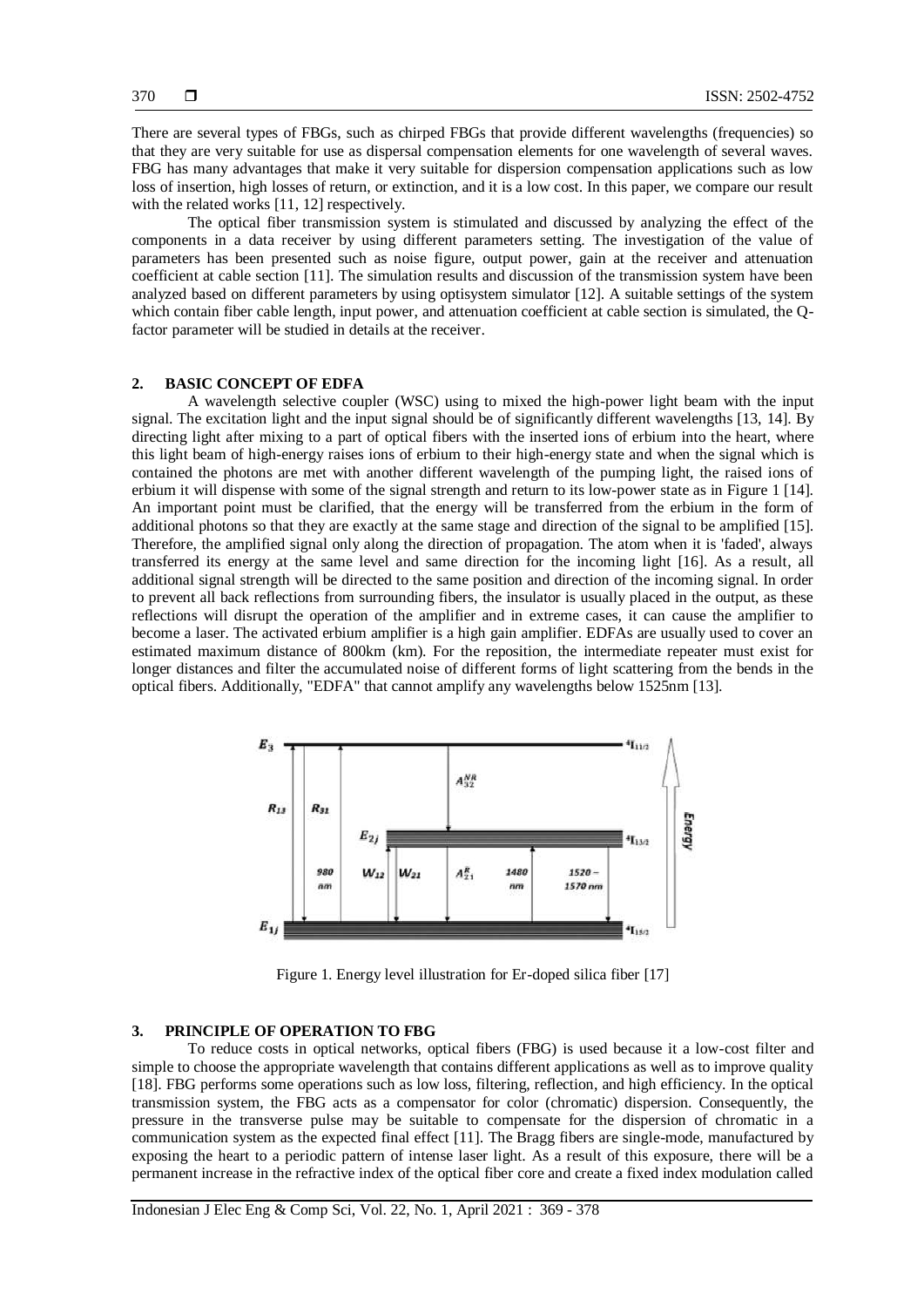There are several types of FBGs, such as chirped FBGs that provide different wavelengths (frequencies) so that they are very suitable for use as dispersal compensation elements for one wavelength of several waves. FBG has many advantages that make it very suitable for dispersion compensation applications such as low loss of insertion, high losses of return, or extinction, and it is a low cost. In this paper, we compare our result with the related works [11, 12] respectively.

The optical fiber transmission system is stimulated and discussed by analyzing the effect of the components in a data receiver by using different parameters setting. The investigation of the value of parameters has been presented such as noise figure, output power, gain at the receiver and attenuation coefficient at cable section [11]. The simulation results and discussion of the transmission system have been analyzed based on different parameters by using optisystem simulator [12]. A suitable settings of the system which contain fiber cable length, input power, and attenuation coefficient at cable section is simulated, the Qfactor parameter will be studied in details at the receiver.

## **2. BASIC CONCEPT OF EDFA**

A wavelength selective coupler (WSC) using to mixed the high-power light beam with the input signal. The excitation light and the input signal should be of significantly different wavelengths [13, 14]. By directing light after mixing to a part of optical fibers with the inserted ions of erbium into the heart, where this light beam of high-energy raises ions of erbium to their high-energy state and when the signal which is contained the photons are met with another different wavelength of the pumping light, the raised ions of erbium it will dispense with some of the signal strength and return to its low-power state as in Figure 1 [14]. An important point must be clarified, that the energy will be transferred from the erbium in the form of additional photons so that they are exactly at the same stage and direction of the signal to be amplified [15]. Therefore, the amplified signal only along the direction of propagation. The atom when it is 'faded', always transferred its energy at the same level and same direction for the incoming light [16]. As a result, all additional signal strength will be directed to the same position and direction of the incoming signal. In order to prevent all back reflections from surrounding fibers, the insulator is usually placed in the output, as these reflections will disrupt the operation of the amplifier and in extreme cases, it can cause the amplifier to become a laser. The activated erbium amplifier is a high gain amplifier. EDFAs are usually used to cover an estimated maximum distance of 800km (km). For the reposition, the intermediate repeater must exist for longer distances and filter the accumulated noise of different forms of light scattering from the bends in the optical fibers. Additionally, "EDFA" that cannot amplify any wavelengths below 1525nm [13].



Figure 1. Energy level illustration for Er-doped silica fiber [17]

## **3. PRINCIPLE OF OPERATION TO FBG**

To reduce costs in optical networks, optical fibers (FBG) is used because it a low-cost filter and simple to choose the appropriate wavelength that contains different applications as well as to improve quality [18]. FBG performs some operations such as low loss, filtering, reflection, and high efficiency. In the optical transmission system, the FBG acts as a compensator for color (chromatic) dispersion. Consequently, the pressure in the transverse pulse may be suitable to compensate for the dispersion of chromatic in a communication system as the expected final effect [11]. The Bragg fibers are single-mode, manufactured by exposing the heart to a periodic pattern of intense laser light. As a result of this exposure, there will be a permanent increase in the refractive index of the optical fiber core and create a fixed index modulation called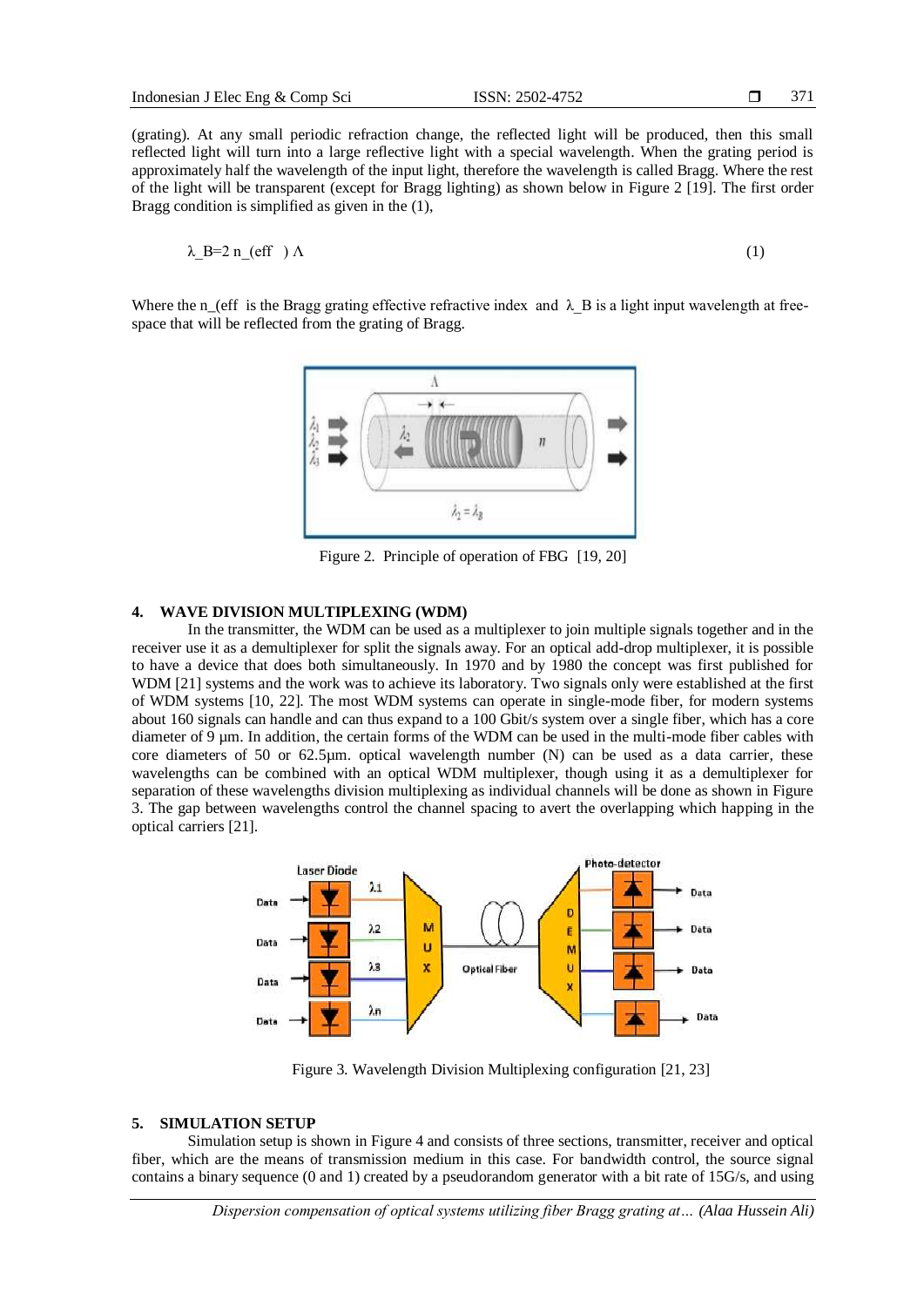371

(grating). At any small periodic refraction change, the reflected light will be produced, then this small reflected light will turn into a large reflective light with a special wavelength. When the grating period is approximately half the wavelength of the input light, therefore the wavelength is called Bragg. Where the rest of the light will be transparent (except for Bragg lighting) as shown below in Figure 2 [19]. The first order Bragg condition is simplified as given in the (1),

$$
\lambda_B = 2 n_e (eff) \Lambda \tag{1}
$$

Where the n (eff is the Bragg grating effective refractive index and  $\lambda$  B is a light input wavelength at freespace that will be reflected from the grating of Bragg.



Figure 2. Principle of operation of FBG [19, 20]

## **4. WAVE DIVISION MULTIPLEXING (WDM)**

In the transmitter, the WDM can be used as a multiplexer to join multiple signals together and in the receiver use it as a demultiplexer for split the signals away. For an optical add-drop multiplexer, it is possible to have a device that does both simultaneously. In 1970 and by 1980 the concept was first published for WDM [21] systems and the work was to achieve its laboratory. Two signals only were established at the first of WDM systems [10, 22]. The most WDM systems can operate in single-mode fiber, for modern systems about 160 signals can handle and can thus expand to a 100 Gbit/s system over a single fiber, which has a core diameter of 9 µm. In addition, the certain forms of the WDM can be used in the multi-mode fiber cables with core diameters of 50 or 62.5µm. optical wavelength number (N) can be used as a data carrier, these wavelengths can be combined with an optical WDM multiplexer, though using it as a demultiplexer for separation of these wavelengths division multiplexing as individual channels will be done as shown in Figure 3. The gap between wavelengths control the channel spacing to avert the overlapping which happing in the optical carriers [21].



Figure 3. Wavelength Division Multiplexing configuration [21, 23]

#### **5. SIMULATION SETUP**

Simulation setup is shown in Figure 4 and consists of three sections, transmitter, receiver and optical fiber, which are the means of transmission medium in this case. For bandwidth control, the source signal contains a binary sequence (0 and 1) created by a pseudorandom generator with a bit rate of 15G/s, and using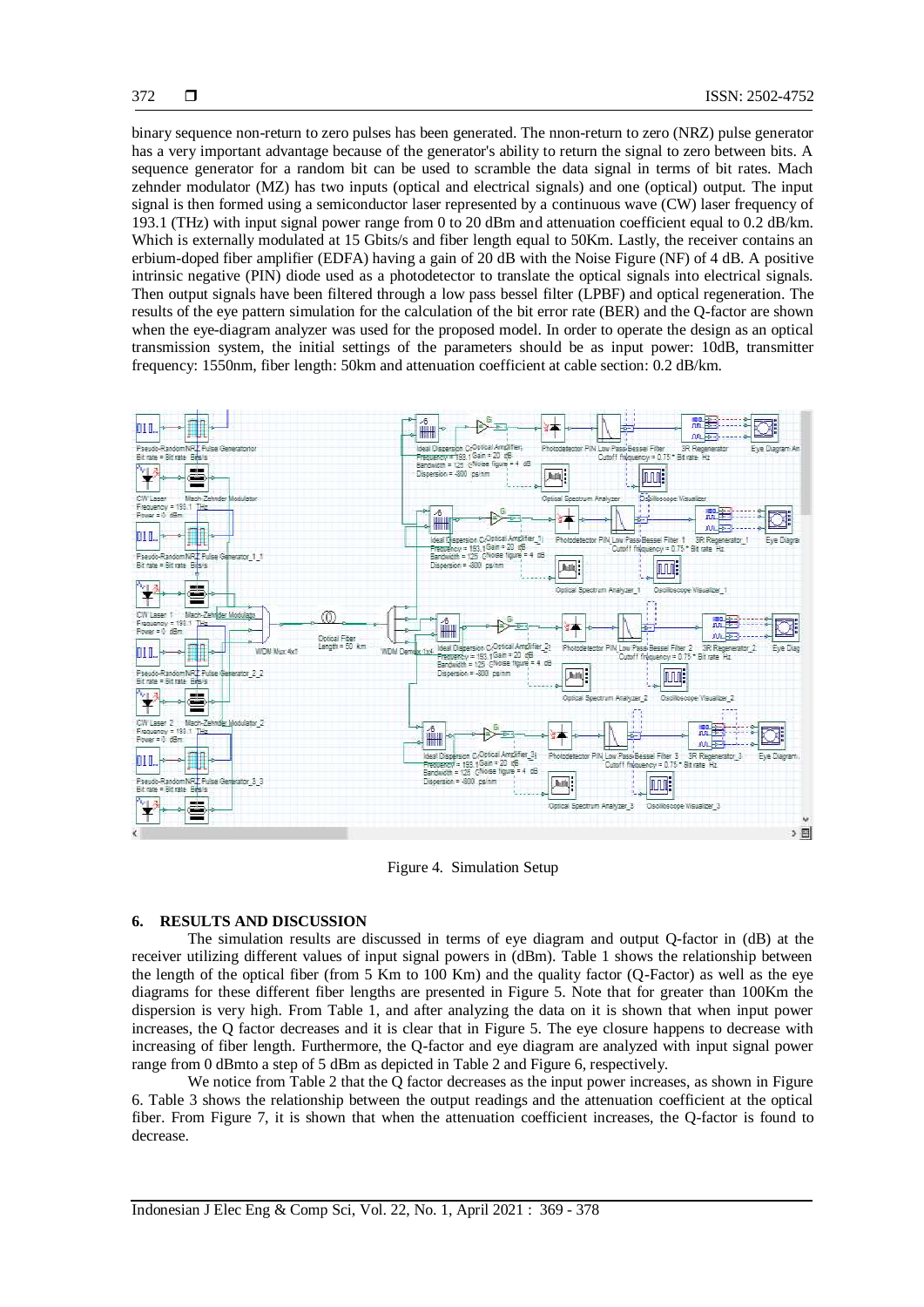binary sequence non-return to zero pulses has been generated. The nnon-return to zero (NRZ) pulse generator has a very important advantage because of the generator's ability to return the signal to zero between bits. A sequence generator for a random bit can be used to scramble the data signal in terms of bit rates. Mach zehnder modulator (MZ) has two inputs (optical and electrical signals) and one (optical) output. The input signal is then formed using a semiconductor laser represented by a continuous wave (CW) laser frequency of 193.1 (THz) with input signal power range from 0 to 20 dBm and attenuation coefficient equal to 0.2 dB/km. Which is externally modulated at 15 Gbits/s and fiber length equal to 50Km. Lastly, the receiver contains an erbium-doped fiber amplifier (EDFA) having a gain of 20 dB with the Noise Figure (NF) of 4 dB. A positive intrinsic negative (PIN) diode used as a photodetector to translate the optical signals into electrical signals. Then output signals have been filtered through a low pass bessel filter (LPBF) and optical regeneration. The results of the eye pattern simulation for the calculation of the bit error rate (BER) and the Q-factor are shown when the eye-diagram analyzer was used for the proposed model. In order to operate the design as an optical transmission system, the initial settings of the parameters should be as input power: 10dB, transmitter frequency: 1550nm, fiber length: 50km and attenuation coefficient at cable section: 0.2 dB/km.



Figure 4. Simulation Setup

## **6. RESULTS AND DISCUSSION**

The simulation results are discussed in terms of eye diagram and output Q-factor in (dB) at the receiver utilizing different values of input signal powers in (dBm). Table 1 shows the relationship between the length of the optical fiber (from 5 Km to 100 Km) and the quality factor (Q-Factor) as well as the eye diagrams for these different fiber lengths are presented in Figure 5. Note that for greater than 100Km the dispersion is very high. From Table 1, and after analyzing the data on it is shown that when input power increases, the Q factor decreases and it is clear that in Figure 5. The eye closure happens to decrease with increasing of fiber length. Furthermore, the Q-factor and eye diagram are analyzed with input signal power range from 0 dBmto a step of 5 dBm as depicted in Table 2 and Figure 6, respectively.

We notice from Table 2 that the Q factor decreases as the input power increases, as shown in Figure 6. Table 3 shows the relationship between the output readings and the attenuation coefficient at the optical fiber. From Figure 7, it is shown that when the attenuation coefficient increases, the Q-factor is found to decrease.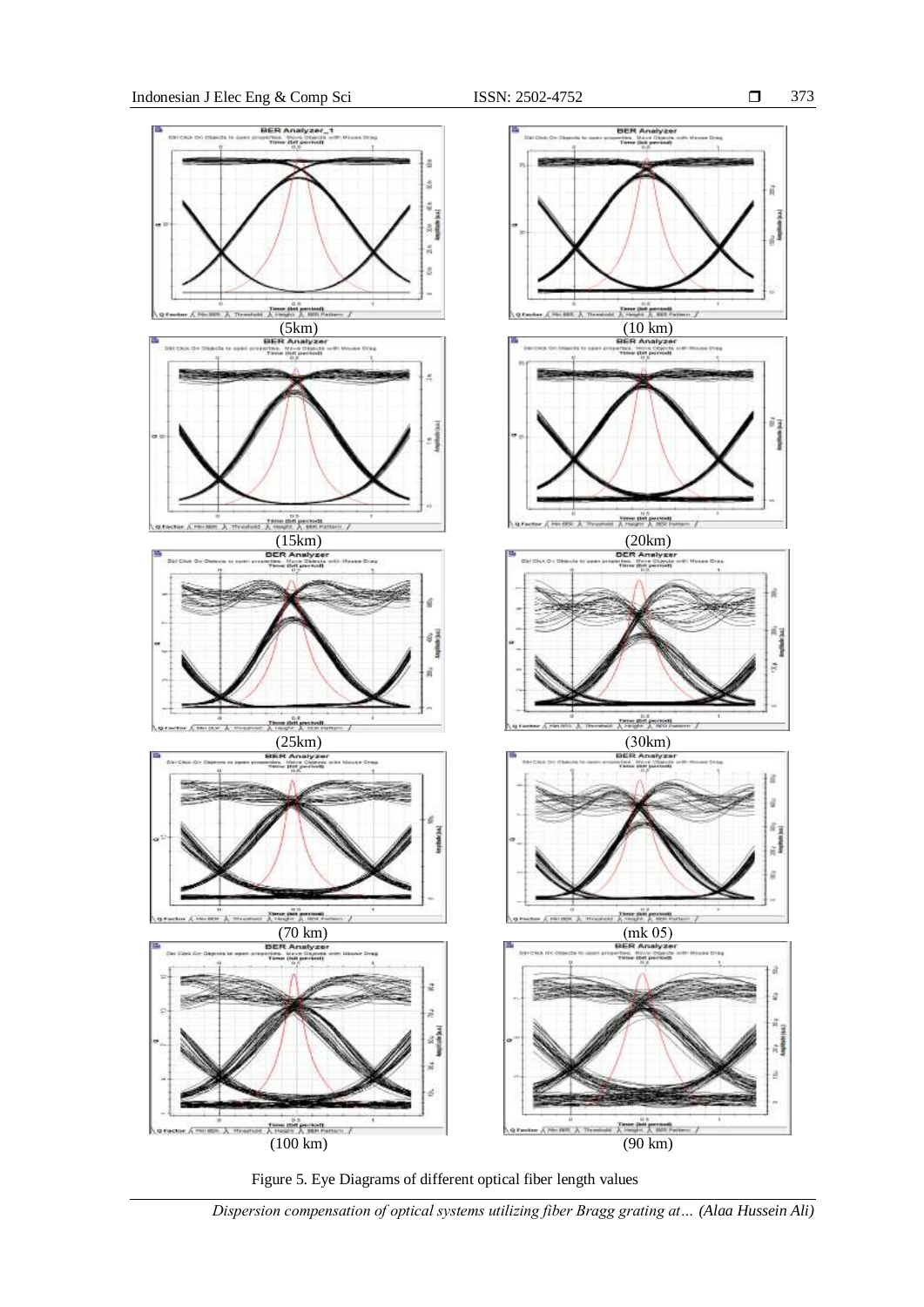



*Dispersion compensation of optical systems utilizing fiber Bragg grating at… (Alaa Hussein Ali)*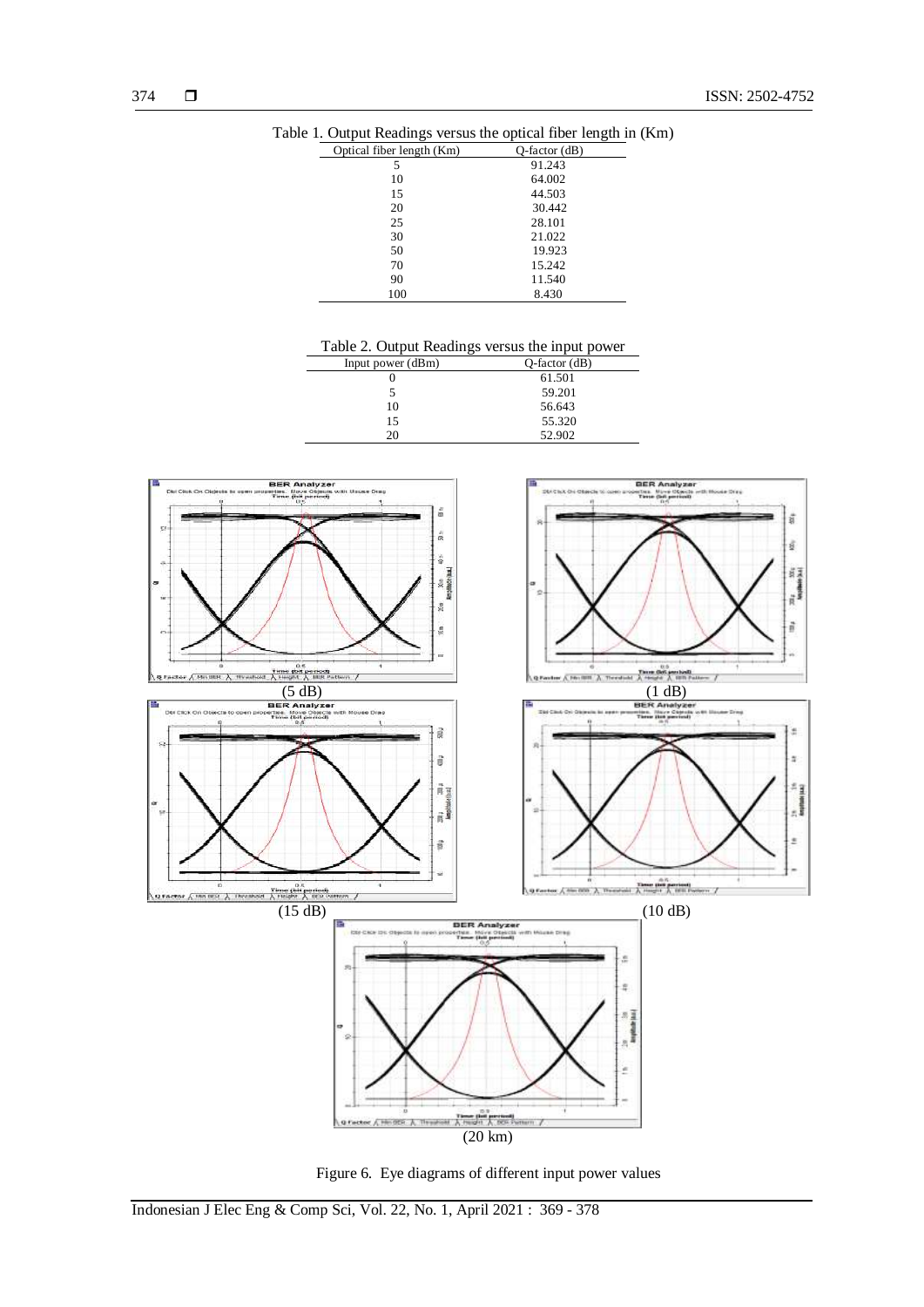| Optical fiber length (Km) | $Q$ -factor $(dB)$ |  |
|---------------------------|--------------------|--|
| 5                         | 91.243             |  |
| 10                        | 64.002             |  |
| 15                        | 44.503             |  |
| 20                        | 30.442             |  |
| 25                        | 28.101             |  |
| 30                        | 21.022             |  |
| 50                        | 19.923             |  |
| 70                        | 15.242             |  |
| 90                        | 11.540             |  |
| 100                       | 8.430              |  |

Table 1. Output Readings versus the optical fiber length in (Km)

|  | Table 2. Output Readings versus the input power |  |  |
|--|-------------------------------------------------|--|--|
|  |                                                 |  |  |

| Input power $(dBm)$ | $O$ -factor $(dB)$ |
|---------------------|--------------------|
|                     | 61.501             |
|                     | 59.201             |
| 10                  | 56.643             |
| 15                  | 55.320             |
| 20                  | 52.902             |

 $\overline{\phantom{a}}$ 



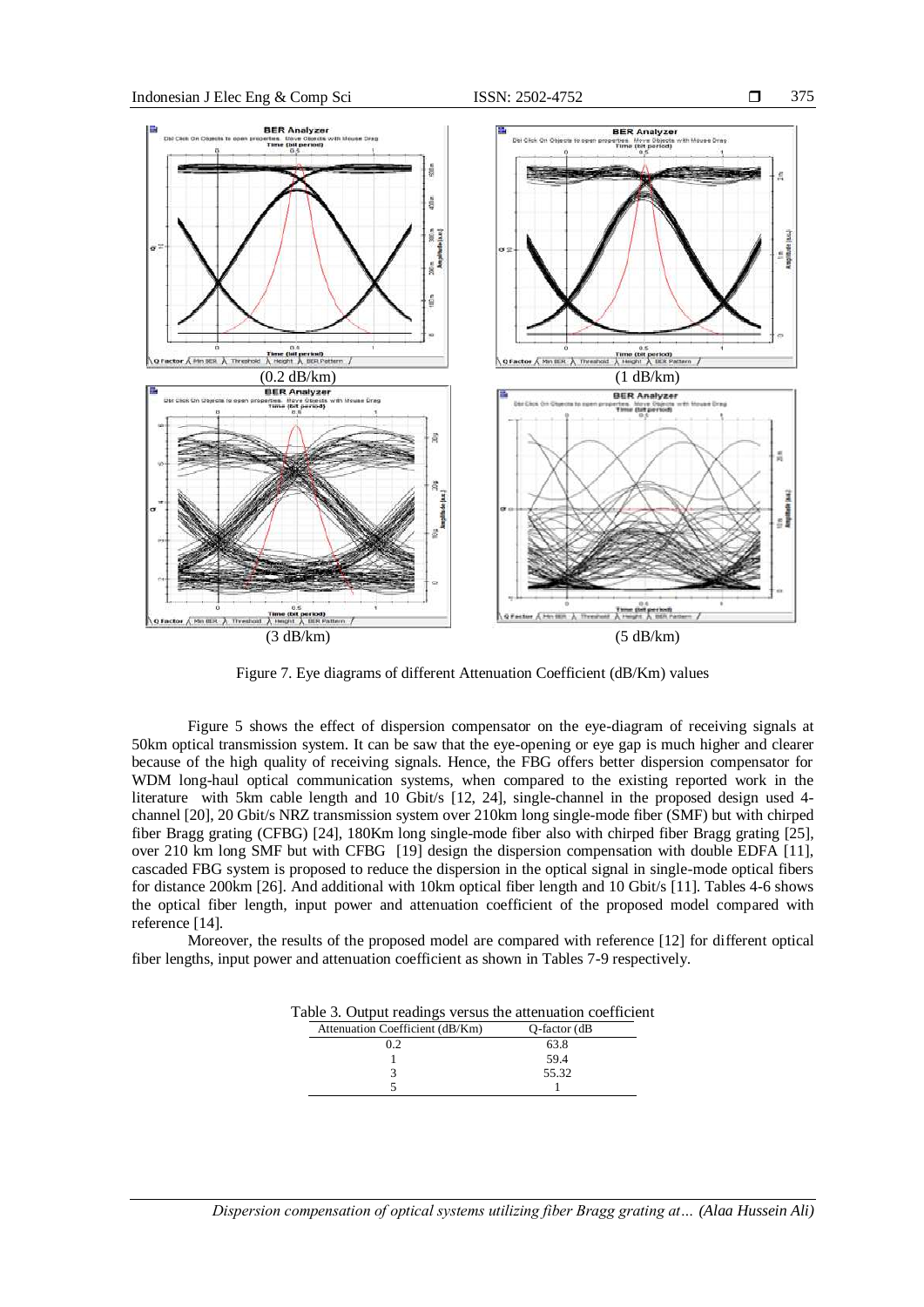

Figure 7. Eye diagrams of different Attenuation Coefficient (dB/Km) values

Figure 5 shows the effect of dispersion compensator on the eye-diagram of receiving signals at 50km optical transmission system. It can be saw that the eye-opening or eye gap is much higher and clearer because of the high quality of receiving signals. Hence, the FBG offers better dispersion compensator for WDM long-haul optical communication systems, when compared to the existing reported work in the literature with 5km cable length and 10 Gbit/s [12, 24], single-channel in the proposed design used 4 channel [20], 20 Gbit/s NRZ transmission system over 210km long single-mode fiber (SMF) but with chirped fiber Bragg grating (CFBG) [24], 180Km long single-mode fiber also with chirped fiber Bragg grating [25], over 210 km long SMF but with CFBG [19] design the dispersion compensation with double EDFA [11], cascaded FBG system is proposed to reduce the dispersion in the optical signal in single-mode optical fibers for distance 200km [26]. And additional with 10km optical fiber length and 10 Gbit/s [11]. Tables 4-6 shows the optical fiber length, input power and attenuation coefficient of the proposed model compared with reference [14].

Moreover, the results of the proposed model are compared with reference [12] for different optical fiber lengths, input power and attenuation coefficient as shown in Tables 7-9 respectively.

|  |  |  |  | Table 3. Output readings versus the attenuation coefficient |  |
|--|--|--|--|-------------------------------------------------------------|--|
|--|--|--|--|-------------------------------------------------------------|--|

| Attenuation Coefficient (dB/Km) | $Q$ -factor (dB |
|---------------------------------|-----------------|
| 02                              | 63.8            |
|                                 | 59.4            |
|                                 | 55.32           |
|                                 |                 |
|                                 |                 |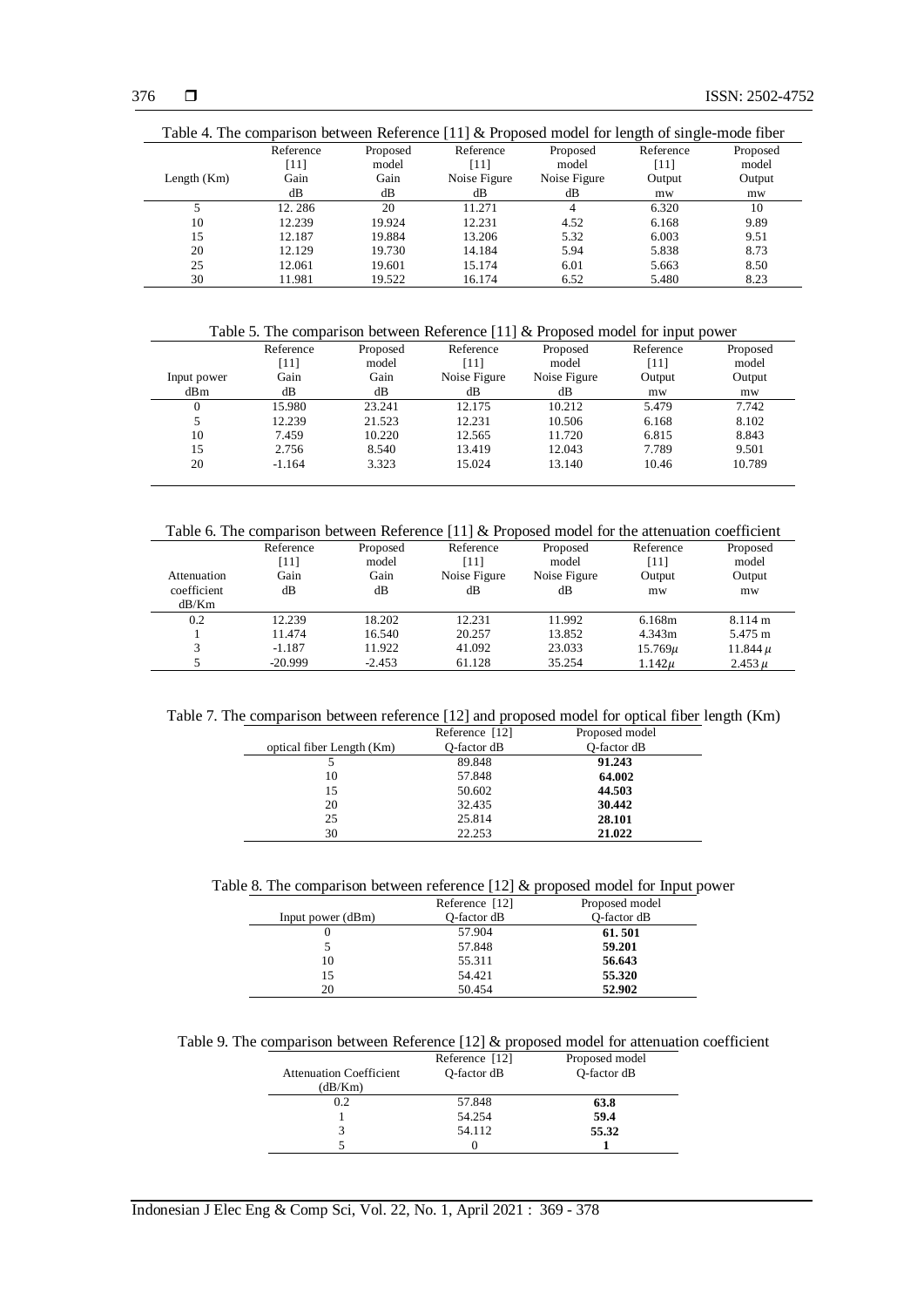| Table 4. The comparison between Reference [11] & Proposed model for length of single-mode fiber |           |          |              |              |           |          |
|-------------------------------------------------------------------------------------------------|-----------|----------|--------------|--------------|-----------|----------|
|                                                                                                 | Reference | Proposed | Reference    | Proposed     | Reference | Proposed |
|                                                                                                 | [11]      | model    | [11]         | model        | [11]      | model    |
| Length $(Km)$                                                                                   | Gain      | Gain     | Noise Figure | Noise Figure | Output    | Output   |
|                                                                                                 | dВ        | dВ       | dВ           | dB           | mw        | mw       |
|                                                                                                 | 12.286    | 20       | 11.271       | 4            | 6.320     | 10       |
| 10                                                                                              | 12.239    | 19.924   | 12.231       | 4.52         | 6.168     | 9.89     |
| 15                                                                                              | 12.187    | 19.884   | 13.206       | 5.32         | 6.003     | 9.51     |
| 20                                                                                              | 12.129    | 19.730   | 14.184       | 5.94         | 5.838     | 8.73     |
| 25                                                                                              | 12.061    | 19.601   | 15.174       | 6.01         | 5.663     | 8.50     |
| 30                                                                                              | 11.981    | 19.522   | 16.174       | 6.52         | 5.480     | 8.23     |

Table 5. The comparison between Reference [11] & Proposed model for input power

|             | Reference | Proposed | Reference    | Proposed     | Reference | Proposed |
|-------------|-----------|----------|--------------|--------------|-----------|----------|
|             | [11]      | model    | [11]         | model        | [11]      | model    |
| Input power | Gain      | Gain     | Noise Figure | Noise Figure | Output    | Output   |
| dBm         | dВ        | dВ       | dВ           | dВ           | mw        | mw       |
| 0           | 15.980    | 23.241   | 12.175       | 10.212       | 5.479     | 7.742    |
|             | 12.239    | 21.523   | 12.231       | 10.506       | 6.168     | 8.102    |
| 10          | 7.459     | 10.220   | 12.565       | 11.720       | 6.815     | 8.843    |
| 15          | 2.756     | 8.540    | 13.419       | 12.043       | 7.789     | 9.501    |
| 20          | $-1.164$  | 3.323    | 15.024       | 13.140       | 10.46     | 10.789   |

Table 6. The comparison between Reference [11] & Proposed model for the attenuation coefficient

|             | Reference | Proposed | Reference    | Proposed     | Reference   | Proposed          |  |
|-------------|-----------|----------|--------------|--------------|-------------|-------------------|--|
|             | [11]      | model    | [11]         | model        | [11]        | model             |  |
| Attenuation | Gain      | Gain     | Noise Figure | Noise Figure | Output      | Output            |  |
| coefficient | dВ        | dВ       | dВ           | dВ           | mw          | mw                |  |
| dB/Km       |           |          |              |              |             |                   |  |
| 0.2         | 12.239    | 18.202   | 12.231       | 11.992       | 6.168m      | $8.114 \text{ m}$ |  |
|             | 11.474    | 16.540   | 20.257       | 13.852       | 4.343m      | 5.475 m           |  |
|             | $-1.187$  | 11.922   | 41.092       | 23.033       | $15.769\mu$ | 11.844 $\mu$      |  |
|             | $-20.999$ | $-2.453$ | 61.128       | 35.254       | $1.142\mu$  | 2.453 $\mu$       |  |
|             |           |          |              |              |             |                   |  |

Table 7. The comparison between reference [12] and proposed model for optical fiber length (Km)

|                           | Reference [12] | Proposed model |
|---------------------------|----------------|----------------|
| optical fiber Length (Km) | O-factor dB    | O-factor dB    |
|                           | 89.848         | 91.243         |
| 10                        | 57.848         | 64.002         |
| 15                        | 50.602         | 44.503         |
| 20                        | 32.435         | 30.442         |
| 25                        | 25.814         | 28.101         |
| 30                        | 22.253         | 21.022         |

Table 8. The comparison between reference [12] & proposed model for Input power

|                   | Reference [12] | Proposed model |
|-------------------|----------------|----------------|
| Input power (dBm) | O-factor dB    | O-factor dB    |
|                   | 57.904         | 61.501         |
|                   | 57.848         | 59.201         |
| 10                | 55.311         | 56.643         |
| 15                | 54.421         | 55.320         |
| 20.               | 50.454         | 52.902         |

Table 9. The comparison between Reference [12] & proposed model for attenuation coefficient

|                                           | Reference [12] | Proposed model |
|-------------------------------------------|----------------|----------------|
| <b>Attenuation Coefficient</b><br>(dB/Km) | O-factor dB    | O-factor dB    |
| 0.2                                       | 57.848         | 63.8           |
|                                           | 54.254         | 59.4           |
|                                           | 54.112         | 55.32          |
|                                           |                |                |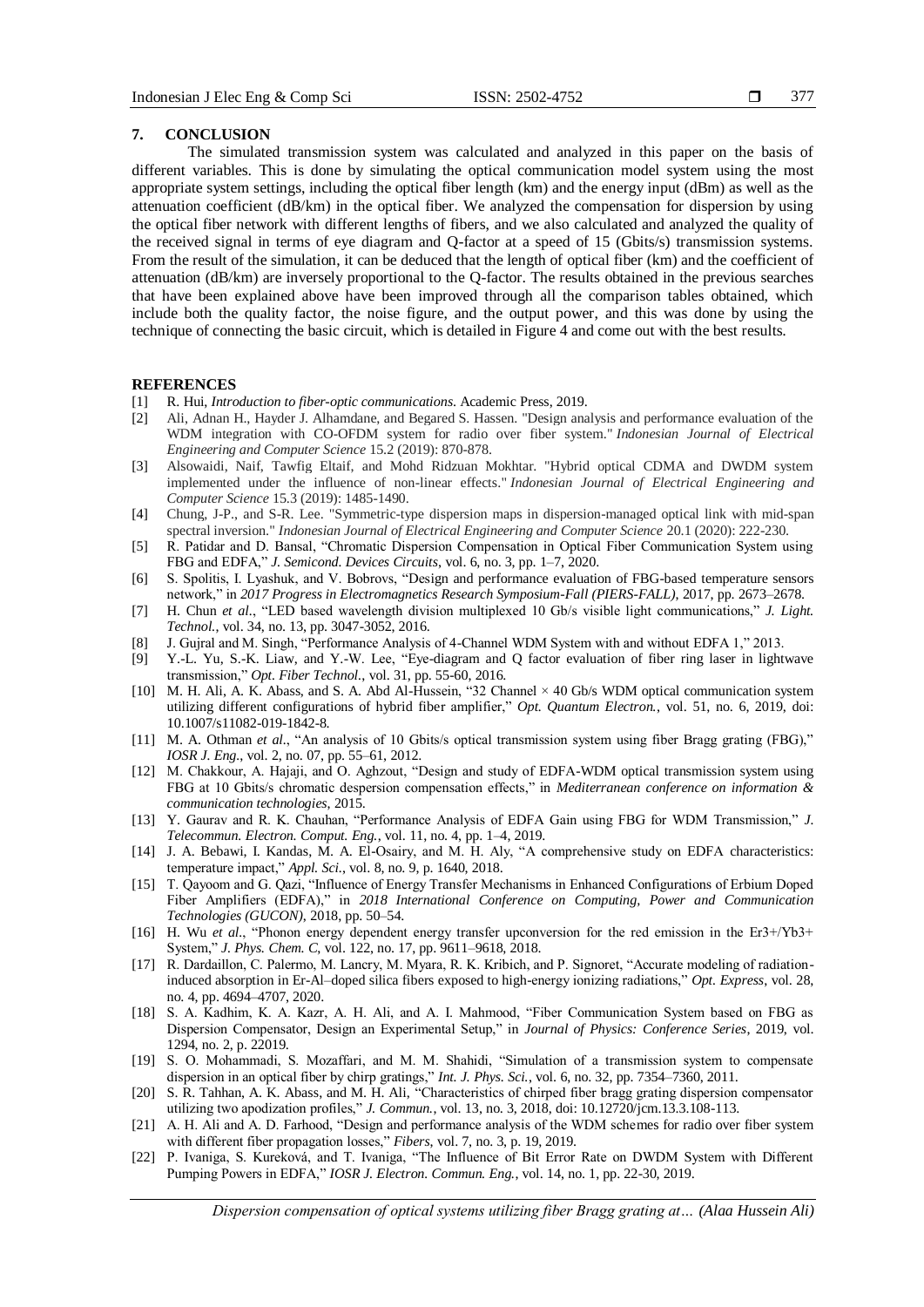## **7. CONCLUSION**

The simulated transmission system was calculated and analyzed in this paper on the basis of different variables. This is done by simulating the optical communication model system using the most appropriate system settings, including the optical fiber length (km) and the energy input (dBm) as well as the attenuation coefficient (dB/km) in the optical fiber. We analyzed the compensation for dispersion by using the optical fiber network with different lengths of fibers, and we also calculated and analyzed the quality of the received signal in terms of eye diagram and Q-factor at a speed of 15 (Gbits/s) transmission systems. From the result of the simulation, it can be deduced that the length of optical fiber (km) and the coefficient of attenuation (dB/km) are inversely proportional to the Q-factor. The results obtained in the previous searches that have been explained above have been improved through all the comparison tables obtained, which include both the quality factor, the noise figure, and the output power, and this was done by using the technique of connecting the basic circuit, which is detailed in Figure 4 and come out with the best results.

#### **REFERENCES**

- [1] R. Hui, *Introduction to fiber-optic communications*. Academic Press, 2019.
- [2] Ali, Adnan H., Hayder J. Alhamdane, and Begared S. Hassen. "Design analysis and performance evaluation of the WDM integration with CO-OFDM system for radio over fiber system." *Indonesian Journal of Electrical Engineering and Computer Science* 15.2 (2019): 870-878.
- [3] Alsowaidi, Naif, Tawfig Eltaif, and Mohd Ridzuan Mokhtar. "Hybrid optical CDMA and DWDM system implemented under the influence of non-linear effects." *Indonesian Journal of Electrical Engineering and Computer Science* 15.3 (2019): 1485-1490.
- [4] Chung, J-P., and S-R. Lee. "Symmetric-type dispersion maps in dispersion-managed optical link with mid-span spectral inversion." *Indonesian Journal of Electrical Engineering and Computer Science* 20.1 (2020): 222-230.
- [5] R. Patidar and D. Bansal, "Chromatic Dispersion Compensation in Optical Fiber Communication System using FBG and EDFA," *J. Semicond. Devices Circuits*, vol. 6, no. 3, pp. 1–7, 2020.
- [6] S. Spolitis, I. Lyashuk, and V. Bobrovs, "Design and performance evaluation of FBG-based temperature sensors network," in *2017 Progress in Electromagnetics Research Symposium-Fall (PIERS-FALL)*, 2017, pp. 2673–2678.
- [7] H. Chun *et al.*, "LED based wavelength division multiplexed 10 Gb/s visible light communications," *J. Light. Technol.*, vol. 34, no. 13, pp. 3047-3052, 2016.
- [8] J. Gujral and M. Singh, "Performance Analysis of 4-Channel WDM System with and without EDFA 1," 2013.
- [9] Y.-L. Yu, S.-K. Liaw, and Y.-W. Lee, "Eye-diagram and Q factor evaluation of fiber ring laser in lightwave transmission," *Opt. Fiber Technol.*, vol. 31, pp. 55-60, 2016.
- [10] M. H. Ali, A. K. Abass, and S. A. Abd Al-Hussein, "32 Channel × 40 Gb/s WDM optical communication system utilizing different configurations of hybrid fiber amplifier," *Opt. Quantum Electron.*, vol. 51, no. 6, 2019, doi: 10.1007/s11082-019-1842-8.
- [11] M. A. Othman *et al.*, "An analysis of 10 Gbits/s optical transmission system using fiber Bragg grating (FBG)," *IOSR J. Eng.*, vol. 2, no. 07, pp. 55–61, 2012.
- [12] M. Chakkour, A. Hajaji, and O. Aghzout, "Design and study of EDFA-WDM optical transmission system using FBG at 10 Gbits/s chromatic despersion compensation effects," in *Mediterranean conference on information & communication technologies*, 2015.
- [13] Y. Gaurav and R. K. Chauhan, "Performance Analysis of EDFA Gain using FBG for WDM Transmission," *J. Telecommun. Electron. Comput. Eng.*, vol. 11, no. 4, pp. 1–4, 2019.
- [14] J. A. Bebawi, I. Kandas, M. A. El-Osairy, and M. H. Aly, "A comprehensive study on EDFA characteristics: temperature impact," *Appl. Sci.*, vol. 8, no. 9, p. 1640, 2018.
- [15] T. Qayoom and G. Qazi, "Influence of Energy Transfer Mechanisms in Enhanced Configurations of Erbium Doped Fiber Amplifiers (EDFA)," in *2018 International Conference on Computing, Power and Communication Technologies (GUCON)*, 2018, pp. 50–54.
- [16] H. Wu *et al.*, "Phonon energy dependent energy transfer upconversion for the red emission in the Er3+/Yb3+ System," *J. Phys. Chem. C*, vol. 122, no. 17, pp. 9611–9618, 2018.
- [17] R. Dardaillon, C. Palermo, M. Lancry, M. Myara, R. K. Kribich, and P. Signoret, "Accurate modeling of radiationinduced absorption in Er-Al–doped silica fibers exposed to high-energy ionizing radiations," *Opt. Express*, vol. 28, no. 4, pp. 4694–4707, 2020.
- [18] S. A. Kadhim, K. A. Kazr, A. H. Ali, and A. I. Mahmood, "Fiber Communication System based on FBG as Dispersion Compensator, Design an Experimental Setup," in *Journal of Physics: Conference Series*, 2019, vol. 1294, no. 2, p. 22019.
- [19] S. O. Mohammadi, S. Mozaffari, and M. M. Shahidi, "Simulation of a transmission system to compensate dispersion in an optical fiber by chirp gratings," *Int. J. Phys. Sci.*, vol. 6, no. 32, pp. 7354–7360, 2011.
- [20] S. R. Tahhan, A. K. Abass, and M. H. Ali, "Characteristics of chirped fiber bragg grating dispersion compensator utilizing two apodization profiles," *J. Commun.*, vol. 13, no. 3, 2018, doi: 10.12720/jcm.13.3.108-113.
- [21] A. H. Ali and A. D. Farhood, "Design and performance analysis of the WDM schemes for radio over fiber system with different fiber propagation losses," *Fibers*, vol. 7, no. 3, p. 19, 2019.
- [22] P. Ivaniga, S. Kureková, and T. Ivaniga, "The Influence of Bit Error Rate on DWDM System with Different Pumping Powers in EDFA," *IOSR J. Electron. Commun. Eng.*, vol. 14, no. 1, pp. 22-30, 2019.